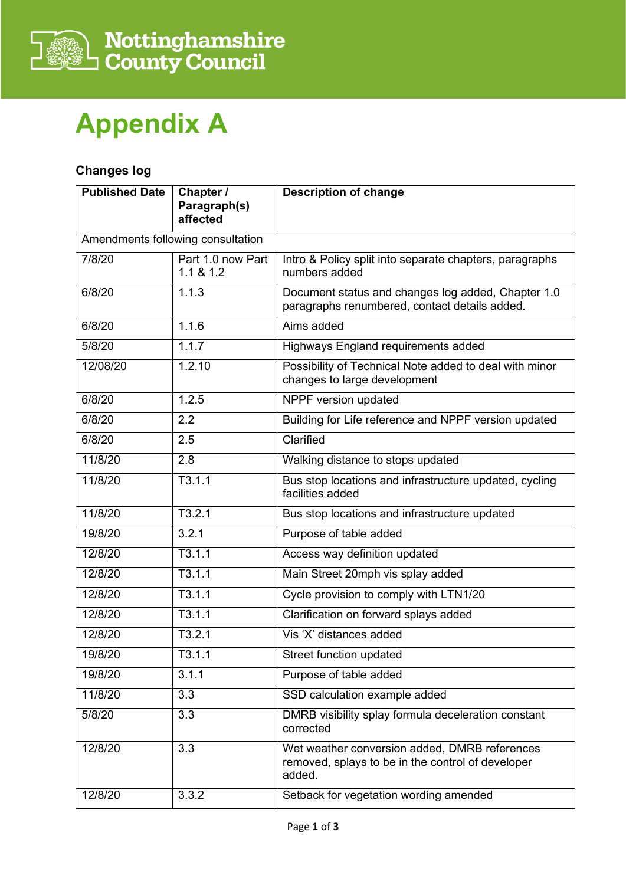

## **Appendix A**

## **Changes log**

| <b>Published Date</b> | Chapter /<br>Paragraph(s)<br>affected | <b>Description of change</b>                                                                                 |
|-----------------------|---------------------------------------|--------------------------------------------------------------------------------------------------------------|
|                       | Amendments following consultation     |                                                                                                              |
| 7/8/20                | Part 1.0 now Part<br>1.1 & 8.1.2      | Intro & Policy split into separate chapters, paragraphs<br>numbers added                                     |
| 6/8/20                | 1.1.3                                 | Document status and changes log added, Chapter 1.0<br>paragraphs renumbered, contact details added.          |
| 6/8/20                | 1.1.6                                 | Aims added                                                                                                   |
| 5/8/20                | 1.1.7                                 | Highways England requirements added                                                                          |
| 12/08/20              | 1.2.10                                | Possibility of Technical Note added to deal with minor<br>changes to large development                       |
| 6/8/20                | 1.2.5                                 | NPPF version updated                                                                                         |
| 6/8/20                | 2.2                                   | Building for Life reference and NPPF version updated                                                         |
| 6/8/20                | 2.5                                   | Clarified                                                                                                    |
| 11/8/20               | 2.8                                   | Walking distance to stops updated                                                                            |
| 11/8/20               | T3.1.1                                | Bus stop locations and infrastructure updated, cycling<br>facilities added                                   |
| 11/8/20               | T3.2.1                                | Bus stop locations and infrastructure updated                                                                |
| 19/8/20               | 3.2.1                                 | Purpose of table added                                                                                       |
| 12/8/20               | T3.1.1                                | Access way definition updated                                                                                |
| 12/8/20               | T3.1.1                                | Main Street 20mph vis splay added                                                                            |
| 12/8/20               | T3.1.1                                | Cycle provision to comply with LTN1/20                                                                       |
| 12/8/20               | T3.1.1                                | Clarification on forward splays added                                                                        |
| 12/8/20               | T3.2.1                                | Vis 'X' distances added                                                                                      |
| 19/8/20               | T3.1.1                                | Street function updated                                                                                      |
| 19/8/20               | 3.1.1                                 | Purpose of table added                                                                                       |
| 11/8/20               | 3.3                                   | SSD calculation example added                                                                                |
| 5/8/20                | 3.3                                   | DMRB visibility splay formula deceleration constant<br>corrected                                             |
| 12/8/20               | 3.3                                   | Wet weather conversion added, DMRB references<br>removed, splays to be in the control of developer<br>added. |
| 12/8/20               | 3.3.2                                 | Setback for vegetation wording amended                                                                       |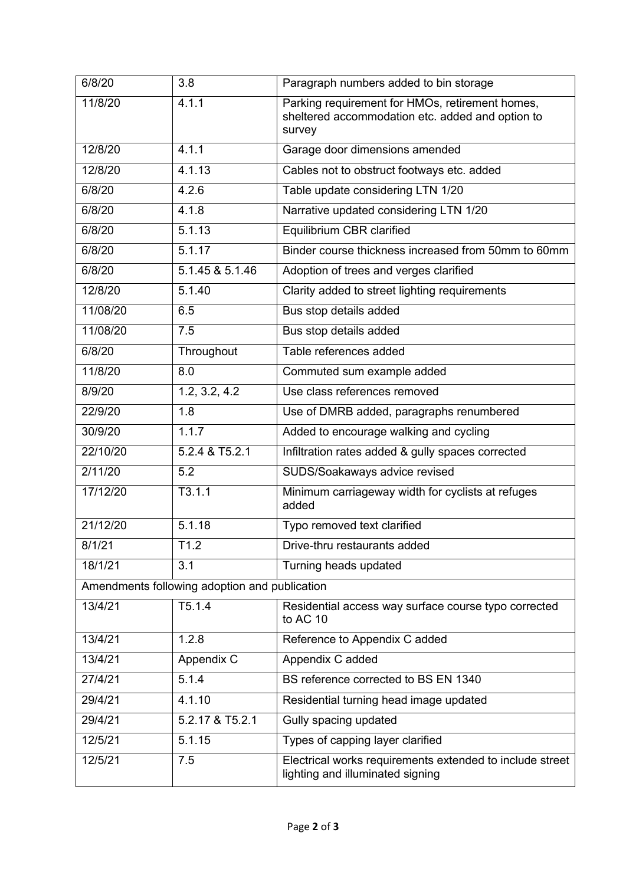| 6/8/20                                        | 3.8             | Paragraph numbers added to bin storage                                                                        |  |  |
|-----------------------------------------------|-----------------|---------------------------------------------------------------------------------------------------------------|--|--|
| 11/8/20                                       | 4.1.1           | Parking requirement for HMOs, retirement homes,<br>sheltered accommodation etc. added and option to<br>survey |  |  |
| 12/8/20                                       | 4.1.1           | Garage door dimensions amended                                                                                |  |  |
| 12/8/20                                       | 4.1.13          | Cables not to obstruct footways etc. added                                                                    |  |  |
| 6/8/20                                        | 4.2.6           | Table update considering LTN 1/20                                                                             |  |  |
| 6/8/20                                        | 4.1.8           | Narrative updated considering LTN 1/20                                                                        |  |  |
| 6/8/20                                        | 5.1.13          | Equilibrium CBR clarified                                                                                     |  |  |
| 6/8/20                                        | 5.1.17          | Binder course thickness increased from 50mm to 60mm                                                           |  |  |
| 6/8/20                                        | 5.1.45 & 5.1.46 | Adoption of trees and verges clarified                                                                        |  |  |
| 12/8/20                                       | 5.1.40          | Clarity added to street lighting requirements                                                                 |  |  |
| 11/08/20                                      | 6.5             | Bus stop details added                                                                                        |  |  |
| 11/08/20                                      | 7.5             | Bus stop details added                                                                                        |  |  |
| 6/8/20                                        | Throughout      | Table references added                                                                                        |  |  |
| 11/8/20                                       | 8.0             | Commuted sum example added                                                                                    |  |  |
| 8/9/20                                        | 1.2, 3.2, 4.2   | Use class references removed                                                                                  |  |  |
| 22/9/20                                       | 1.8             | Use of DMRB added, paragraphs renumbered                                                                      |  |  |
| 30/9/20                                       | 1.1.7           | Added to encourage walking and cycling                                                                        |  |  |
| 22/10/20                                      | 5.2.4 & T5.2.1  | Infiltration rates added & gully spaces corrected                                                             |  |  |
| 2/11/20                                       | 5.2             | SUDS/Soakaways advice revised                                                                                 |  |  |
| 17/12/20                                      | T3.1.1          | Minimum carriageway width for cyclists at refuges<br>added                                                    |  |  |
| 21/12/20                                      | 5.1.18          | Typo removed text clarified                                                                                   |  |  |
| 8/1/21                                        | T1.2            | Drive-thru restaurants added                                                                                  |  |  |
| 18/1/21                                       | 3.1             | Turning heads updated                                                                                         |  |  |
| Amendments following adoption and publication |                 |                                                                                                               |  |  |
| 13/4/21                                       | T5.1.4          | Residential access way surface course typo corrected<br>to AC 10                                              |  |  |
| 13/4/21                                       | 1.2.8           | Reference to Appendix C added                                                                                 |  |  |
| 13/4/21                                       | Appendix C      | Appendix C added                                                                                              |  |  |
| 27/4/21                                       | 5.1.4           | BS reference corrected to BS EN 1340                                                                          |  |  |
| 29/4/21                                       | 4.1.10          | Residential turning head image updated                                                                        |  |  |
| 29/4/21                                       | 5.2.17 & T5.2.1 | Gully spacing updated                                                                                         |  |  |
| 12/5/21                                       | 5.1.15          | Types of capping layer clarified                                                                              |  |  |
| 12/5/21                                       | 7.5             | Electrical works requirements extended to include street<br>lighting and illuminated signing                  |  |  |